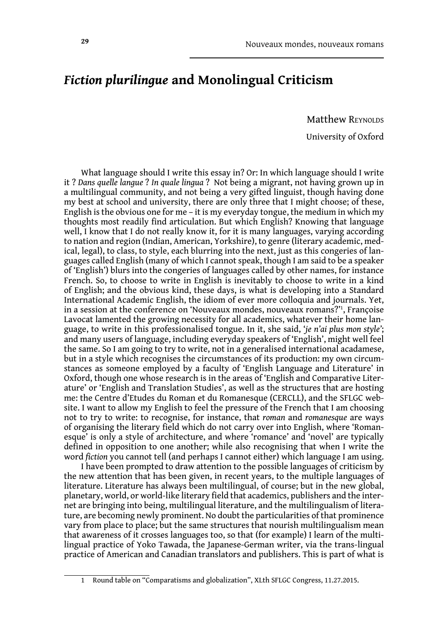# *Fiction plurilingue* **and Monolingual Criticism**

Matthew REYNOLDS

University of Oxford

What language should I write this essay in? Or: In which language should I write it ? *Dans quelle langue* ? *In quale lingua* ? Not being a migrant, not having grown up in a multilingual community, and not being a very gifted linguist, though having done my best at school and university, there are only three that I might choose; of these, English is the obvious one for me – it is my everyday tongue, the medium in which my thoughts most readily find articulation. But which English? Knowing that language well, I know that I do not really know it, for it is many languages, varying according to nation and region (Indian, American, Yorkshire), to genre (literary academic, medical, legal), to class, to style, each blurring into the next, just as this congeries of languages called English (many of which I cannot speak, though I am said to be a speaker of 'English') blurs into the congeries of languages called by other names, for instance French. So, to choose to write in English is inevitably to choose to write in a kind of English; and the obvious kind, these days, is what is developing into a Standard International Academic English, the idiom of ever more colloquia and journals. Yet, in a session at the conference on 'Nouveaux mondes, nouveaux romans?'1 , Françoise Lavocat lamented the growing necessity for all academics, whatever their home language, to write in this professionalised tongue. In it, she said, '*je n'ai plus mon style'*; and many users of language, including everyday speakers of 'English', might well feel the same. So I am going to try to write, not in a generalised international acadamese, but in a style which recognises the circumstances of its production: my own circumstances as someone employed by a faculty of 'English Language and Literature' in Oxford, though one whose research is in the areas of 'English and Comparative Literature' or 'English and Translation Studies', as well as the structures that are hosting me: the Centre d'Etudes du Roman et du Romanesque (CERCLL), and the SFLGC website. I want to allow my English to feel the pressure of the French that I am choosing not to try to write: to recognise, for instance, that *roman* and *romanesque* are ways of organising the literary field which do not carry over into English, where 'Romanesque' is only a style of architecture, and where 'romance' and 'novel' are typically defined in opposition to one another; while also recognising that when I write the word *fiction* you cannot tell (and perhaps I cannot either) which language I am using.

I have been prompted to draw attention to the possible languages of criticism by the new attention that has been given, in recent years, to the multiple languages of literature. Literature has always been multilingual, of course; but in the new global, planetary, world, or world-like literary field that academics, publishers and the internet are bringing into being, multilingual literature, and the multilingualism of literature, are becoming newly prominent. No doubt the particularities of that prominence vary from place to place; but the same structures that nourish multilingualism mean that awareness of it crosses languages too, so that (for example) I learn of the multilingual practice of Yoko Tawada, the Japanese-German writer, via the trans-lingual practice of American and Canadian translators and publishers. This is part of what is

<sup>1</sup> Round table on "Comparatisms and globalization", XLth SFLGC Congress, 11.27.2015.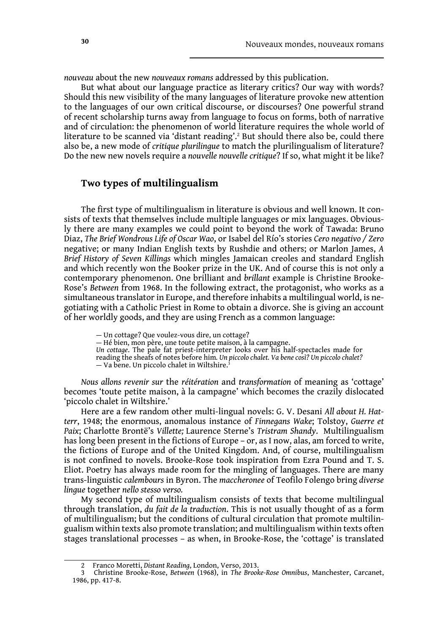*nouveau* about the new *nouveaux romans* addressed by this publication.

But what about our language practice as literary critics? Our way with words? Should this new visibility of the many languages of literature provoke new attention to the languages of our own critical discourse, or discourses? One powerful strand of recent scholarship turns away from language to focus on forms, both of narrative and of circulation: the phenomenon of world literature requires the whole world of literature to be scanned via 'distant reading'.2 But should there also be, could there also be, a new mode of *critique plurilingue* to match the plurilingualism of literature? Do the new new novels require a *nouvelle nouvelle critique*? If so, what might it be like?

## **Two types of multilingualism**

The first type of multilingualism in literature is obvious and well known. It consists of texts that themselves include multiple languages or mix languages. Obviously there are many examples we could point to beyond the work of Tawada: Bruno Diaz, *The Brief Wondrous Life of Oscar Wao*, or Isabel del Río's stories *Cero negativo / Zero*  negative; or many Indian English texts by Rushdie and others; or Marlon James, *A Brief History of Seven Killings* which mingles Jamaican creoles and standard English and which recently won the Booker prize in the UK. And of course this is not only a contemporary phenomenon. One brilliant and *brillant* example is Christine Brooke-Rose's *Between* from 1968. In the following extract, the protagonist, who works as a simultaneous translator in Europe, and therefore inhabits a multilingual world, is negotiating with a Catholic Priest in Rome to obtain a divorce. She is giving an account of her worldly goods, and they are using French as a common language:

— Un cottage? Que voulez-vous dire, un cottage? — Hé bien, mon père, une toute petite maison, à la campagne. *Un cottage*. The pale fat priest-interpreter looks over his half-spectacles made for reading the sheafs of notes before him*. Un piccolo chalet. Va bene così? Un piccolo chalet?*  $-$  Va bene. Un piccolo chalet in Wiltshire.<sup>3</sup>

*Nous allons revenir sur* the *réitération* and *transformation* of meaning as 'cottage' becomes 'toute petite maison, à la campagne' which becomes the crazily dislocated 'piccolo chalet in Wiltshire.'

Here are a few random other multi-lingual novels: G. V. Desani *All about H. Hatterr*, 1948; the enormous, anomalous instance of *Finnegans Wake*; Tolstoy, *Guerre et Paix*; Charlotte Brontë's *Villette;* Laurence Sterne's *Tristram Shandy*. Multilingualism has long been present in the fictions of Europe – or, as I now, alas, am forced to write, the fictions of Europe and of the United Kingdom. And, of course, multilingualism is not confined to novels. Brooke-Rose took inspiration from Ezra Pound and T. S. Eliot. Poetry has always made room for the mingling of languages. There are many trans-linguistic *calembours* in Byron. The *maccheronee* of Teofilo Folengo bring *diverse lingue* together *nello stesso verso.*

My second type of multilingualism consists of texts that become multilingual through translation, *du fait de la traduction*. This is not usually thought of as a form of multilingualism; but the conditions of cultural circulation that promote multilingualism within texts also promote translation; and multilingualism within texts often stages translational processes – as when, in Brooke-Rose, the 'cottage' is translated

<sup>2</sup> Franco Moretti, *Distant Reading*, London, Verso, 2013.

<sup>3</sup> Christine Brooke-Rose, *Between* (1968), in *The Brooke-Rose Omnibus*, Manchester, Carcanet, 1986, pp. 417-8.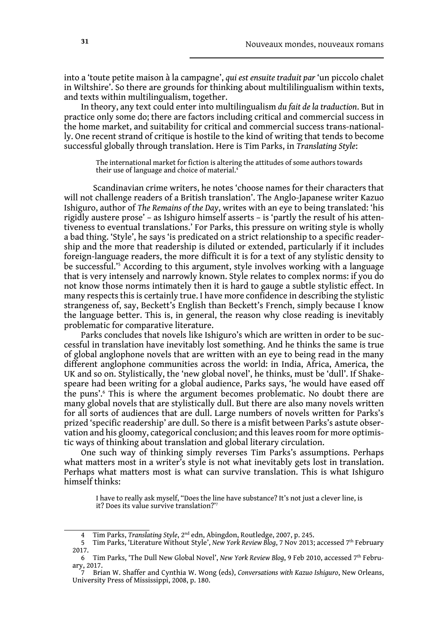into a 'toute petite maison à la campagne', *qui est ensuite traduit par* 'un piccolo chalet in Wiltshire'. So there are grounds for thinking about multililingualism within texts, and texts within multilingualism, together.

In theory, any text could enter into multilingualism *du fait de la traduction*. But in practice only some do; there are factors including critical and commercial success in the home market, and suitability for critical and commercial success trans-nationally. One recent strand of critique is hostile to the kind of writing that tends to become successful globally through translation. Here is Tim Parks, in *Translating Style*:

The international market for fiction is altering the attitudes of some authors towards their use of language and choice of material.<sup>4</sup>

 Scandinavian crime writers, he notes 'choose names for their characters that will not challenge readers of a British translation'. The Anglo-Japanese writer Kazuo Ishiguro, author of *The Remains of the Day*, writes with an eye to being translated: 'his rigidly austere prose' – as Ishiguro himself asserts – is 'partly the result of his attentiveness to eventual translations.' For Parks, this pressure on writing style is wholly a bad thing. 'Style', he says 'is predicated on a strict relationship to a specific readership and the more that readership is diluted or extended, particularly if it includes foreign-language readers, the more difficult it is for a text of any stylistic density to be successful.'5 According to this argument, style involves working with a language that is very intensely and narrowly known. Style relates to complex norms: if you do not know those norms intimately then it is hard to gauge a subtle stylistic effect. In many respects this is certainly true. I have more confidence in describing the stylistic strangeness of, say, Beckett's English than Beckett's French, simply because I know the language better. This is, in general, the reason why close reading is inevitably problematic for comparative literature.

Parks concludes that novels like Ishiguro's which are written in order to be successful in translation have inevitably lost something. And he thinks the same is true of global anglophone novels that are written with an eye to being read in the many different anglophone communities across the world: in India, Africa, America, the UK and so on. Stylistically, the 'new global novel', he thinks, must be 'dull'. If Shakespeare had been writing for a global audience, Parks says, 'he would have eased off the puns'.<sup>6</sup> This is where the argument becomes problematic. No doubt there are many global novels that are stylistically dull. But there are also many novels written for all sorts of audiences that are dull. Large numbers of novels written for Parks's prized 'specific readership' are dull. So there is a misfit between Parks's astute observation and his gloomy, categorical conclusion; and this leaves room for more optimistic ways of thinking about translation and global literary circulation.

One such way of thinking simply reverses Tim Parks's assumptions. Perhaps what matters most in a writer's style is not what inevitably gets lost in translation. Perhaps what matters most is what can survive translation. This is what Ishiguro himself thinks:

I have to really ask myself, "Does the line have substance? It's not just a clever line, is it? Does its value survive translation?'<sup>7</sup>

<sup>4</sup> Tim Parks, *Translating Style*, 2nd edn, Abingdon, Routledge, 2007, p. 245.

<sup>5</sup> Tim Parks, 'Literature Without Style', *New York Review Blog*, 7 Nov 2013; accessed 7th February 2017.

<sup>6</sup> Tim Parks, 'The Dull New Global Novel', *New York Review Blog*, 9 Feb 2010, accessed 7th February, 2017.

<sup>7</sup> Brian W. Shaffer and Cynthia W. Wong (eds), *Conversations with Kazuo Ishiguro*, New Orleans, University Press of Mississippi, 2008, p. 180.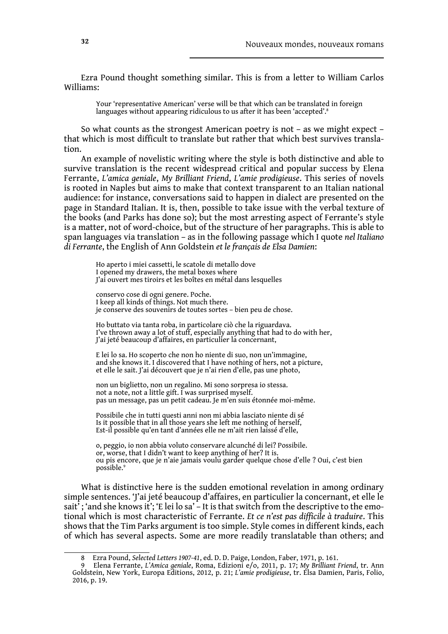Ezra Pound thought something similar. This is from a letter to William Carlos Williams:

Your 'representative American' verse will be that which can be translated in foreign languages without appearing ridiculous to us after it has been 'accepted'.<sup>8</sup>

So what counts as the strongest American poetry is not – as we might expect – that which is most difficult to translate but rather that which best survives translation.

An example of novelistic writing where the style is both distinctive and able to survive translation is the recent widespread critical and popular success by Elena Ferrante, *L'amica geniale*, *My Brilliant Friend*, *L'amie prodigieuse*. This series of novels is rooted in Naples but aims to make that context transparent to an Italian national audience: for instance, conversations said to happen in dialect are presented on the page in Standard Italian. It is, then, possible to take issue with the verbal texture of the books (and Parks has done so); but the most arresting aspect of Ferrante's style is a matter, not of word-choice, but of the structure of her paragraphs. This is able to span languages via translation – as in the following passage which I quote *nel Italiano di Ferrante*, the English of Ann Goldstein *et le français de Elsa Damien*:

Ho aperto i miei cassetti, le scatole di metallo dove I opened my drawers, the metal boxes where J'ai ouvert mes tiroirs et les boîtes en métal dans lesquelles

conservo cose di ogni genere. Poche. I keep all kinds of things. Not much there. je conserve des souvenirs de toutes sortes – bien peu de chose.

Ho buttato via tanta roba, in particolare ciò che la riguardava. I've thrown away a lot of stuff, especially anything that had to do with her, J'ai jeté beaucoup d'affaires, en particulier la concernant,

E lei lo sa. Ho scoperto che non ho niente di suo, non un'immagine, and she knows it. I discovered that I have nothing of hers, not a picture, et elle le sait. J'ai découvert que je n'ai rien d'elle, pas une photo,

non un biglietto, non un regalino. Mi sono sorpresa io stessa. not a note, not a little gift. I was surprised myself. pas un message, pas un petit cadeau. Je m'en suis étonnée moi-même.

Possibile che in tutti questi anni non mi abbia lasciato niente di sé Is it possible that in all those years she left me nothing of herself, Est-il possible qu'en tant d'années elle ne m'ait rien laissé d'elle,

o, peggio, io non abbia voluto conservare alcunché di lei? Possibile. or, worse, that I didn't want to keep anything of her? It is. ou pis encore, que je n'aie jamais voulu garder quelque chose d'elle ? Oui, c'est bien possible.9

What is distinctive here is the sudden emotional revelation in among ordinary simple sentences. 'J'ai jeté beaucoup d'affaires, en particulier la concernant, et elle le sait<sup>7</sup>; 'and she knows it'; 'E lei lo sa' - It is that switch from the descriptive to the emotional which is most characteristic of Ferrante. *Et ce n'est pas difficile à traduire*. This shows that the Tim Parks argument is too simple. Style comes in different kinds, each of which has several aspects. Some are more readily translatable than others; and

<sup>8</sup> Ezra Pound, *Selected Letters 1907-41*, ed. D. D. Paige, London, Faber, 1971, p. 161.

<sup>9</sup> Elena Ferrante, *L'Amica geniale*, Roma, Edizioni e/o, 2011, p. 17; *My Brilliant Friend*, tr. Ann Goldstein, New York, Europa Editions, 2012, p. 21; *L'amie prodigieuse*, tr. Elsa Damien, Paris, Folio, 2016, p. 19.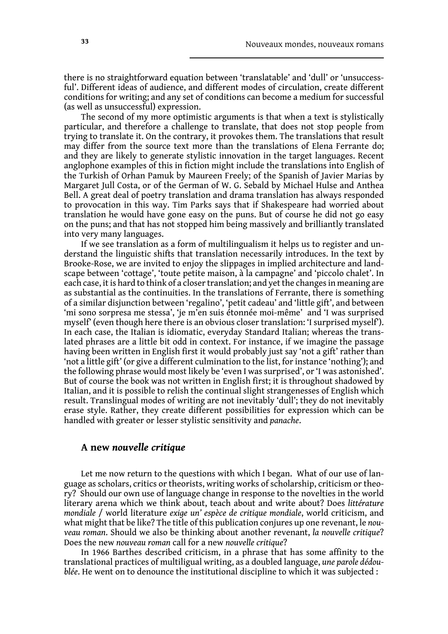there is no straightforward equation between 'translatable' and 'dull' or 'unsuccessful'. Different ideas of audience, and different modes of circulation, create different conditions for writing; and any set of conditions can become a medium for successful (as well as unsuccessful) expression.

The second of my more optimistic arguments is that when a text is stylistically particular, and therefore a challenge to translate, that does not stop people from trying to translate it. On the contrary, it provokes them. The translations that result may differ from the source text more than the translations of Elena Ferrante do; and they are likely to generate stylistic innovation in the target languages. Recent anglophone examples of this in fiction might include the translations into English of the Turkish of Orhan Pamuk by Maureen Freely; of the Spanish of Javier Marias by Margaret Jull Costa, or of the German of W. G. Sebald by Michael Hulse and Anthea Bell. A great deal of poetry translation and drama translation has always responded to provocation in this way. Tim Parks says that if Shakespeare had worried about translation he would have gone easy on the puns. But of course he did not go easy on the puns; and that has not stopped him being massively and brilliantly translated into very many languages.

If we see translation as a form of multilingualism it helps us to register and understand the linguistic shifts that translation necessarily introduces. In the text by Brooke-Rose, we are invited to enjoy the slippages in implied architecture and landscape between 'cottage', 'toute petite maison, à la campagne' and 'piccolo chalet'. In each case, it is hard to think of a closer translation; and yet the changes in meaning are as substantial as the continuities. In the translations of Ferrante, there is something of a similar disjunction between 'regalino', 'petit cadeau' and 'little gift', and between 'mi sono sorpresa me stessa', 'je m'en suis étonnée moi-même' and 'I was surprised myself' (even though here there is an obvious closer translation: 'I surprised myself'). In each case, the Italian is idiomatic, everyday Standard Italian; whereas the translated phrases are a little bit odd in context. For instance, if we imagine the passage having been written in English first it would probably just say 'not a gift' rather than 'not a little gift' (or give a different culmination to the list, for instance 'nothing'); and the following phrase would most likely be 'even I was surprised', or 'I was astonished'. But of course the book was not written in English first; it is throughout shadowed by Italian, and it is possible to relish the continual slight strangenesses of English which result. Translingual modes of writing are not inevitably 'dull'; they do not inevitably erase style. Rather, they create different possibilities for expression which can be handled with greater or lesser stylistic sensitivity and *panache*.

#### **A new** *nouvelle critique*

Let me now return to the questions with which I began. What of our use of language as scholars, critics or theorists, writing works of scholarship, criticism or theory? Should our own use of language change in response to the novelties in the world literary arena which we think about, teach about and write about? Does *littérature mondiale* / world literature *exige un' espèce de critique mondiale*, world criticism, and what might that be like? The title of this publication conjures up one revenant, le *nouveau roman*. Should we also be thinking about another revenant, *la nouvelle critique*? Does the new *nouveau roman* call for a new *nouvelle critique*?

In 1966 Barthes described criticism, in a phrase that has some affinity to the translational practices of multiligual writing, as a doubled language, *une parole dédoublée*. He went on to denounce the institutional discipline to which it was subjected :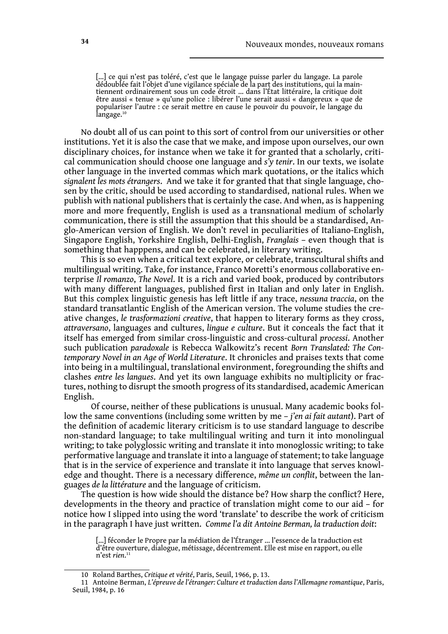[…] ce qui n'est pas toléré, c'est que le langage puisse parler du langage. La parole dédoublée fait l'objet d'une vigilance spéciale de la part des institutions, qui la main- tiennent ordinairement sous un code étroit … dans l'État littéraire, la critique doit être aussi « tenue » qu'une police : libérer l'une serait aussi « dangereux » que de populariser l'autre : ce serait mettre en cause le pouvoir du pouvoir, le langage du langage.<sup>10</sup>

No doubt all of us can point to this sort of control from our universities or other institutions. Yet it is also the case that we make, and impose upon ourselves, our own disciplinary choices, for instance when we take it for granted that a scholarly, critical communication should choose one language and *s'y tenir*. In our texts, we isolate other language in the inverted commas which mark quotations, or the italics which *signalent les mots étrangers*. And we take it for granted that that single language, chosen by the critic, should be used according to standardised, national rules. When we publish with national publishers that is certainly the case. And when, as is happening more and more frequently, English is used as a transnational medium of scholarly communication, there is still the assumption that this should be a standardised, Anglo-American version of English. We don't revel in peculiarities of Italiano-English, Singapore English, Yorkshire English, Delhi-English, *Franglais* – even though that is something that happpens, and can be celebrated, in literary writing.

This is so even when a critical text explore, or celebrate, transcultural shifts and multilingual writing. Take, for instance, Franco Moretti's enormous collaborative enterprise *Il romanzo*, *The Novel*. It is a rich and varied book, produced by contributors with many different languages, published first in Italian and only later in English. But this complex linguistic genesis has left little if any trace, *nessuna traccia*, on the standard transatlantic English of the American version. The volume studies the creative changes, *le trasformazioni creative*, that happen to literary forms as they cross, *attraversano*, languages and cultures, *lingue e culture*. But it conceals the fact that it itself has emerged from similar cross-linguistic and cross-cultural *processi*. Another such publication *paradoxale* is Rebecca Walkowitz's recent *Born Translated: The Contemporary Novel in an Age of World Literature*. It chronicles and praises texts that come into being in a multilingual, translational environment, foregrounding the shifts and clashes *entre les langues*. And yet its own language exhibits no multiplicity or fractures, nothing to disrupt the smooth progress of its standardised, academic American English.

Of course, neither of these publications is unusual. Many academic books follow the same conventions (including some written by me – *j'en ai fait autant*). Part of the definition of academic literary criticism is to use standard language to describe non-standard language; to take multilingual writing and turn it into monolingual writing; to take polyglossic writing and translate it into monoglossic writing; to take performative language and translate it into a language of statement; to take language that is in the service of experience and translate it into language that serves knowledge and thought. There is a necessary difference, *même un conflit*, between the languages *de la littérature* and the language of criticism.

The question is how wide should the distance be? How sharp the conflict? Here, developments in the theory and practice of translation might come to our aid – for notice how I slipped into using the word 'translate' to describe the work of criticism in the paragraph I have just written. *Comme l'a dit Antoine Berman, la traduction doit*:

<sup>[...]</sup> féconder le Propre par la médiation de l'Étranger ... l'essence de la traduction est d'être ouverture, dialogue, métissage, décentrement. Elle est mise en rapport, ou elle n'est *rien*. 11

<sup>10</sup> Roland Barthes, *Critique et vérité*, Paris, Seuil, 1966, p. 13.

<sup>11</sup> Antoine Berman, *L'épreuve de l'étranger: Culture et traduction dans l'Allemagne romantique*, Paris, Seuil, 1984, p. 16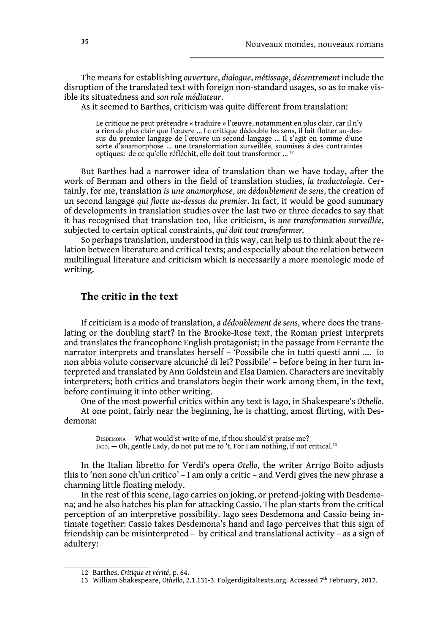The means for establishing *ouverture*, *dialogue*, *métissage*, *décentrement* include the disruption of the translated text with foreign non-standard usages, so as to make visible its situatedness and *son role médiateur*.

As it seemed to Barthes, criticism was quite different from translation:

Le critique ne peut prétendre « traduire » l'œuvre, notamment en plus clair, car il n'y a rien de plus clair que l'œuvre … Le critique dédouble les sens, il fait flotter au-dessus du premier langage de l'œuvre un second langage … Il s'agit en somme d'une sorte d'anamorphose … une transformation surveillée, soumises à des contraintes optiques: de ce qu'elle réfléchit, elle doit tout transformer … 12

But Barthes had a narrower idea of translation than we have today, after the work of Berman and others in the field of translation studies, *la traductologie*. Certainly, for me, translation *is une anamorphose*, *un dédoublement de sens*, the creation of un second langage *qui flotte au*-*dessus du premier*. In fact, it would be good summary of developments in translation studies over the last two or three decades to say that it has recognised that translation too, like criticism, is *une transformation surveillée*, subjected to certain optical constraints, *qui doit tout transformer.*

So perhaps translation, understood in this way, can help us to think about the relation between literature and critical texts; and especially about the relation between multilingual literature and criticism which is necessarily a more monologic mode of writing.

## **The critic in the text**

If criticism is a mode of translation, a *dédoublement de sens*, where does the translating or the doubling start? In the Brooke-Rose text, the Roman priest interprets and translates the francophone English protagonist; in the passage from Ferrante the narrator interprets and translates herself – 'Possibile che in tutti questi anni …. io non abbia voluto conservare alcunché di lei? Possibile' – before being in her turn interpreted and translated by Ann Goldstein and Elsa Damien. Characters are inevitably interpreters; both critics and translators begin their work among them, in the text, before continuing it into other writing.

One of the most powerful critics within any text is Iago, in Shakespeare's *Othello*.

At one point, fairly near the beginning, he is chatting, amost flirting, with Desdemona:

 $D_{ESDEMONA}$  — What would'st write of me, if thou should'st praise me? Iago. — Oh, gentle Lady, do not put me to 't, For I am nothing, if not critical.<sup>13</sup>

In the Italian libretto for Verdi's opera *Otello*, the writer Arrigo Boito adjusts this to 'non sono ch'un critico' – I am only a critic – and Verdi gives the new phrase a charming little floating melody.

In the rest of this scene, Iago carries on joking, or pretend-joking with Desdemona; and he also hatches his plan for attacking Cassio. The plan starts from the critical perception of an interpretive possibility. Iago sees Desdemona and Cassio being intimate together: Cassio takes Desdemona's hand and Iago perceives that this sign of friendship can be misinterpreted – by critical and translational activity – as a sign of adultery:

<sup>12</sup> Barthes, *Critique et vérité*, p. 64.

<sup>13</sup> William Shakespeare, *Othello*, 2.1.131-3. Folgerdigitaltexts.org. Accessed 7th February, 2017.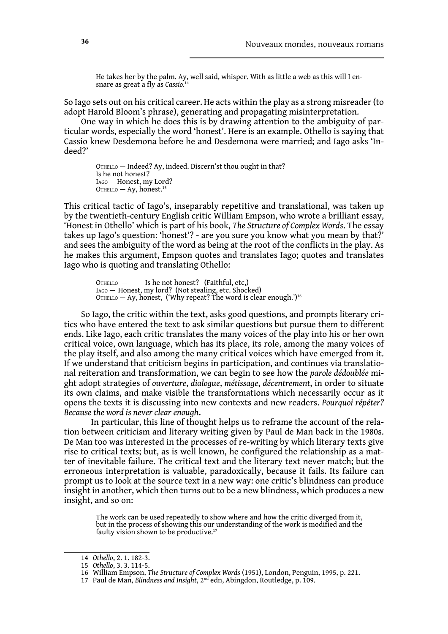He takes her by the palm. Ay, well said, whisper. With as little a web as this will I en- snare as great a fly as *Cassio.*<sup>14</sup>

So Iago sets out on his critical career. He acts within the play as a strong misreader (to adopt Harold Bloom's phrase), generating and propagating misinterpretation.

One way in which he does this is by drawing attention to the ambiguity of particular words, especially the word 'honest'. Here is an example. Othello is saying that Cassio knew Desdemona before he and Desdemona were married; and Iago asks 'Indeed?'

OTHELLO — Indeed? Ay, indeed. Discern'st thou ought in that? Is he not honest? Iago — Honest, my Lord?  $O$ THELLO — Ay, honest.<sup>15</sup>

This critical tactic of Iago's, inseparably repetitive and translational, was taken up by the twentieth-century English critic William Empson, who wrote a brilliant essay, 'Honest in Othello' which is part of his book, *The Structure of Complex Words*. The essay takes up Iago's question: 'honest'? - are you sure you know what you mean by that?' and sees the ambiguity of the word as being at the root of the conflicts in the play. As he makes this argument, Empson quotes and translates Iago; quotes and translates Iago who is quoting and translating Othello:

OTHELLO – Is he not honest? (Faithful, etc,) Iago — Honest, my lord? (Not stealing, etc. Shocked) OTHELLO — Ay, honest, ('Why repeat? The word is clear enough.')<sup>16</sup>

So Iago, the critic within the text, asks good questions, and prompts literary critics who have entered the text to ask similar questions but pursue them to different ends. Like Iago, each critic translates the many voices of the play into his or her own critical voice, own language, which has its place, its role, among the many voices of the play itself, and also among the many critical voices which have emerged from it. If we understand that criticism begins in participation, and continues via translational reiteration and transformation, we can begin to see how the *parole dédoublée* might adopt strategies of *ouverture*, *dialogue*, *métissage*, *décentrement*, in order to situate its own claims, and make visible the transformations which necessarily occur as it opens the texts it is discussing into new contexts and new readers. *Pourquoi répéter? Because the word is never clear enough*.

In particular, this line of thought helps us to reframe the account of the relation between criticism and literary writing given by Paul de Man back in the 1980s. De Man too was interested in the processes of re-writing by which literary texts give rise to critical texts; but, as is well known, he configured the relationship as a matter of inevitable failure. The critical text and the literary text never match; but the erroneous interpretation is valuable, paradoxically, because it fails. Its failure can prompt us to look at the source text in a new way: one critic's blindness can produce insight in another, which then turns out to be a new blindness, which produces a new insight, and so on:

The work can be used repeatedly to show where and how the critic diverged from it, but in the process of showing this our understanding of the work is modified and the faulty vision shown to be productive.<sup>17</sup>

<sup>14</sup> *Othello*, 2. 1. 182-3.

<sup>15</sup> *Othello*, 3. 3. 114-5.

<sup>16</sup> William Empson, *The Structure of Complex Words* (1951), London, Penguin, 1995, p. 221.

<sup>17</sup> Paul de Man, *Blindness and Insight*, 2nd edn, Abingdon, Routledge, p. 109.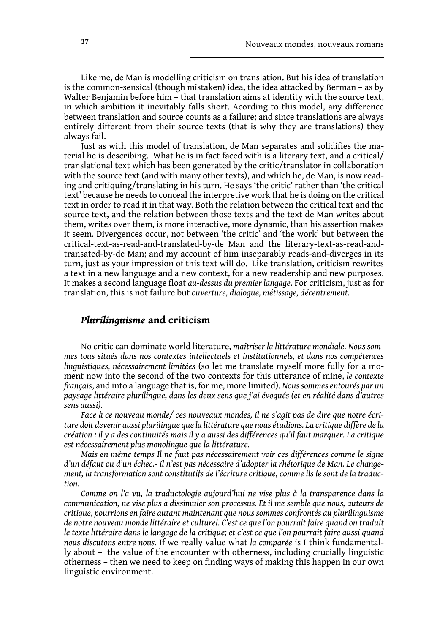Like me, de Man is modelling criticism on translation. But his idea of translation is the common-sensical (though mistaken) idea, the idea attacked by Berman – as by Walter Benjamin before him – that translation aims at identity with the source text, in which ambition it inevitably falls short. Acording to this model, any difference between translation and source counts as a failure; and since translations are always entirely different from their source texts (that is why they are translations) they always fail.

Just as with this model of translation, de Man separates and solidifies the material he is describing. What he is in fact faced with is a literary text, and a critical/ translational text which has been generated by the critic/translator in collaboration with the source text (and with many other texts), and which he, de Man, is now reading and critiquing/translating in his turn. He says 'the critic' rather than 'the critical text' because he needs to conceal the interpretive work that he is doing on the critical text in order to read it in that way. Both the relation between the critical text and the source text, and the relation between those texts and the text de Man writes about them, writes over them, is more interactive, more dynamic, than his assertion makes it seem. Divergences occur, not between 'the critic' and 'the work' but between the critical-text-as-read-and-translated-by-de Man and the literary-text-as-read-andtransated-by-de Man; and my account of him inseparably reads-and-diverges in its turn, just as your impression of this text will do. Like translation, criticism rewrites a text in a new language and a new context, for a new readership and new purposes. It makes a second language float *au-dessus du premier langage*. For criticism, just as for translation, this is not failure but *ouverture, dialogue, métissage, décentrement.*

### *Plurilinguisme* **and criticism**

No critic can dominate world literature, *maîtriser la littérature mondiale. Nous sommes tous situés dans nos contextes intellectuels et institutionnels, et dans nos compétences linguistiques, nécessairement limitées* (so let me translate myself more fully for a moment now into the second of the two contexts for this utterance of mine, *le contexte français*, and into a language that is, for me, more limited). *Nous sommes entourés par un paysage littéraire plurilingue, dans les deux sens que j'ai évoqués (et en réalité dans d'autres sens aussi).*

*Face à ce nouveau monde/ ces nouveaux mondes, il ne s'agit pas de dire que notre écriture doit devenir aussi plurilingue que la littérature que nous étudions. La critique diffère de la création : il y a des continuités mais il y a aussi des différences qu'il faut marquer. La critique est nécessairement plus monolingue que la littérature.* 

*Mais en même temps Il ne faut pas nécessairement voir ces différences comme le signe d'un défaut ou d'un échec.- il n'est pas nécessaire d'adopter la rhétorique de Man. Le changement, la transformation sont constitutifs de l'écriture critique, comme ils le sont de la traduction.*

*Comme on l'a vu, la traductologie aujourd'hui ne vise plus à la transparence dans la communication, ne vise plus à dissimuler son processus. Et il me semble que nous, auteurs de critique, pourrions en faire autant maintenant que nous sommes confrontés au plurilinguisme de notre nouveau monde littéraire et culturel. C'est ce que l'on pourrait faire quand on traduit le texte littéraire dans le langage de la critique; et c'est ce que l'on pourrait faire aussi quand nous discutons entre nous.* If we really value what *la comparée* is I think fundamentally about – the value of the encounter with otherness, including crucially linguistic otherness – then we need to keep on finding ways of making this happen in our own linguistic environment.